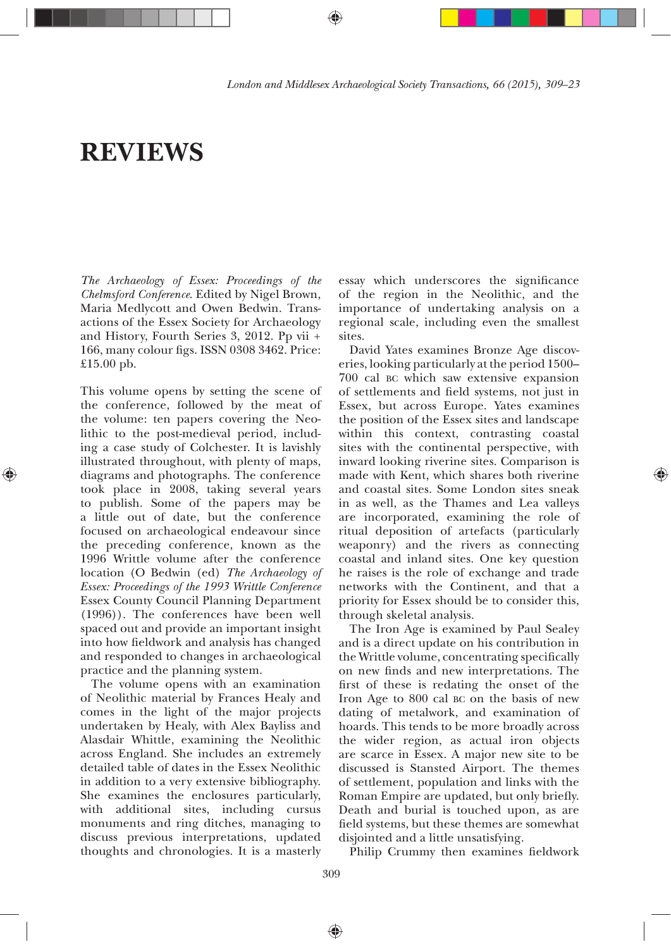# **REVIEWS**

*The Archaeology of Essex: Proceedings of the Chelmsford Conference*. Edited by Nigel Brown, Maria Medlycott and Owen Bedwin. Transactions of the Essex Society for Archaeology and History, Fourth Series 3, 2012. Pp vii + 166, many colour figs. ISSN 0308 3462. Price: £15.00 pb.

This volume opens by setting the scene of the conference, followed by the meat of the volume: ten papers covering the Neolithic to the post-medieval period, including a case study of Colchester. It is lavishly illustrated throughout, with plenty of maps, diagrams and photographs. The conference took place in 2008, taking several years to publish. Some of the papers may be a little out of date, but the conference focused on archaeological endeavour since the preceding conference, known as the 1996 Writtle volume after the conference location (O Bedwin (ed) *The Archaeology of Essex: Proceedings of the 1993 Writtle Conference* Essex County Council Planning Department (1996)). The conferences have been well spaced out and provide an important insight into how fieldwork and analysis has changed and responded to changes in archaeological practice and the planning system.

The volume opens with an examination of Neolithic material by Frances Healy and comes in the light of the major projects undertaken by Healy, with Alex Bayliss and Alasdair Whittle, examining the Neolithic across England. She includes an extremely detailed table of dates in the Essex Neolithic in addition to a very extensive bibliography. She examines the enclosures particularly, with additional sites, including cursus monuments and ring ditches, managing to discuss previous interpretations, updated thoughts and chronologies. It is a masterly

essay which underscores the significance of the region in the Neolithic, and the importance of undertaking analysis on a regional scale, including even the smallest sites.

David Yates examines Bronze Age discoveries, looking particularly at the period 1500— 700 cal BC which saw extensive expansion of settlements and field systems, not just in Essex, but across Europe. Yates examines the position of the Essex sites and landscape within this context, contrasting coastal sites with the continental perspective, with inward looking riverine sites. Comparison is made with Kent, which shares both riverine and coastal sites. Some London sites sneak in as well, as the Thames and Lea valleys are incorporated, examining the role of ritual deposition of artefacts (particularly weaponry) and the rivers as connecting coastal and inland sites. One key question he raises is the role of exchange and trade networks with the Continent, and that a priority for Essex should be to consider this, through skeletal analysis.

⊕

The Iron Age is examined by Paul Sealey and is a direct update on his contribution in the Writtle volume, concentrating specifically on new finds and new interpretations. The first of these is redating the onset of the Iron Age to 800 cal BC on the basis of new dating of metalwork, and examination of hoards. This tends to be more broadly across the wider region, as actual iron objects are scarce in Essex. A major new site to be discussed is Stansted Airport. The themes of settlement, population and links with the Roman Empire are updated, but only briefly. Death and burial is touched upon, as are field systems, but these themes are somewhat disjointed and a little unsatisfying.

Philip Crummy then examines fieldwork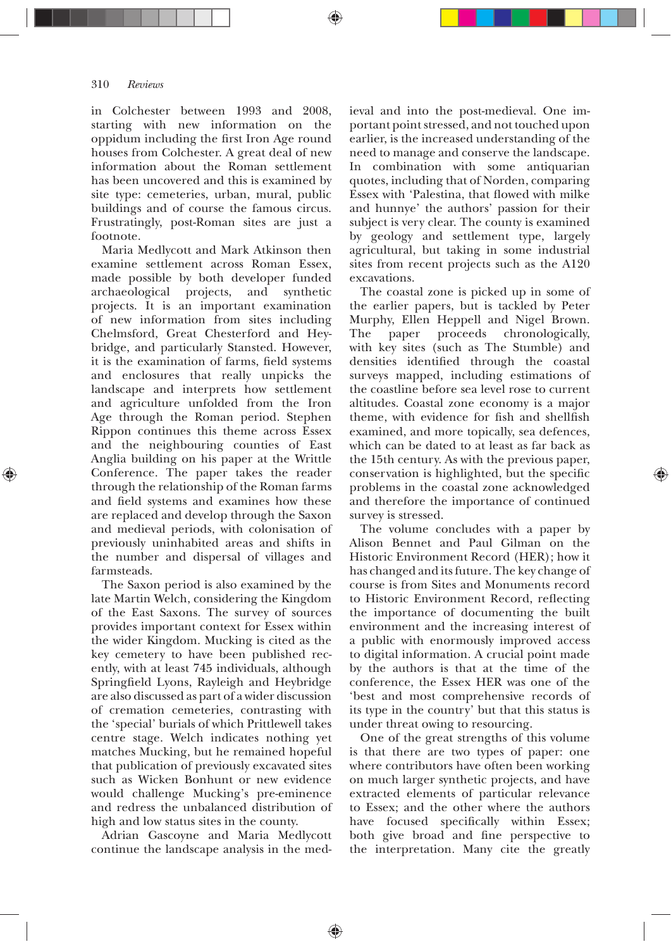in Colchester between 1993 and 2008, starting with new information on the oppidum including the first Iron Age round houses from Colchester. A great deal of new information about the Roman settlement has been uncovered and this is examined by site type: cemeteries, urban, mural, public buildings and of course the famous circus. Frustratingly, post-Roman sites are just a footnote.

Maria Medlycott and Mark Atkinson then examine settlement across Roman Essex, made possible by both developer funded archaeological projects, and synthetic projects. It is an important examination of new information from sites including Chelmsford, Great Chesterford and Heybridge, and particularly Stansted. However, it is the examination of farms, field systems and enclosures that really unpicks the landscape and interprets how settlement and agriculture unfolded from the Iron Age through the Roman period. Stephen Rippon continues this theme across Essex and the neighbouring counties of East Anglia building on his paper at the Writtle Conference. The paper takes the reader through the relationship of the Roman farms and field systems and examines how these are replaced and develop through the Saxon and medieval periods, with colonisation of previously uninhabited areas and shifts in the number and dispersal of villages and farmsteads.

The Saxon period is also examined by the late Martin Welch, considering the Kingdom of the East Saxons. The survey of sources provides important context for Essex within the wider Kingdom. Mucking is cited as the key cemetery to have been published recently, with at least 745 individuals, although Springfield Lyons, Rayleigh and Heybridge are also discussed as part of a wider discussion of cremation cemeteries, contrasting with the 'special' burials of which Prittlewell takes centre stage. Welch indicates nothing yet matches Mucking, but he remained hopeful that publication of previously excavated sites such as Wicken Bonhunt or new evidence would challenge Mucking's pre-eminence and redress the unbalanced distribution of high and low status sites in the county.

Adrian Gascoyne and Maria Medlycott continue the landscape analysis in the med-

♠

ieval and into the post-medieval. One important point stressed, and not touched upon earlier, is the increased understanding of the need to manage and conserve the landscape. In combination with some antiquarian quotes, including that of Norden, comparing Essex with 'Palestina, that flowed with milke and hunnye' the authors' passion for their subject is very clear. The county is examined by geology and settlement type, largely agricultural, but taking in some industrial sites from recent projects such as the A120 excavations.

The coastal zone is picked up in some of the earlier papers, but is tackled by Peter Murphy, Ellen Heppell and Nigel Brown. The paper proceeds chronologically, with key sites (such as The Stumble) and densities identified through the coastal surveys mapped, including estimations of the coastline before sea level rose to current altitudes. Coastal zone economy is a major theme, with evidence for fish and shellfish examined, and more topically, sea defences, which can be dated to at least as far back as the 15th century. As with the previous paper, conservation is highlighted, but the specific problems in the coastal zone acknowledged and therefore the importance of continued survey is stressed.

The volume concludes with a paper by Alison Bennet and Paul Gilman on the Historic Environment Record (HER); how it has changed and its future. The key change of course is from Sites and Monuments record to Historic Environment Record, reflecting the importance of documenting the built environment and the increasing interest of a public with enormously improved access to digital information. A crucial point made by the authors is that at the time of the conference, the Essex HER was one of the 'best and most comprehensive records of its type in the country' but that this status is under threat owing to resourcing.

One of the great strengths of this volume is that there are two types of paper: one where contributors have often been working on much larger synthetic projects, and have extracted elements of particular relevance to Essex; and the other where the authors have focused specifically within Essex; both give broad and fine perspective to the interpretation. Many cite the greatly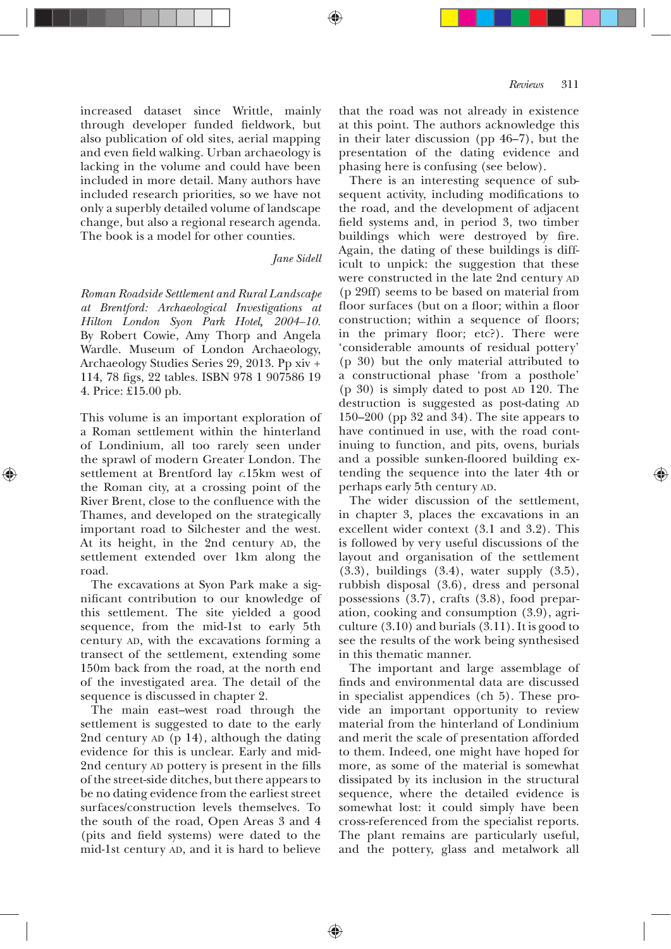increased dataset since Writtle, mainly through developer funded fieldwork, but also publication of old sites, aerial mapping and even field walking. Urban archaeology is lacking in the volume and could have been included in more detail. Many authors have included research priorities, so we have not only a superbly detailed volume of landscape change, but also a regional research agenda. The book is a model for other counties.

# *Jane Sidell*

*Roman Roadside Settlement and Rural Landscape at Brentford: Archaeological Investigations at Hilton London Syon Park Hotel, 2004—10.* By Robert Cowie, Amy Thorp and Angela Wardle. Museum of London Archaeology, Archaeology Studies Series 29, 2013. Pp xiv + 114, 78 figs, 22 tables. ISBN 978 1 907586 19 4. Price:  $£15.00$  pb.

This volume is an important exploration of a Roman settlement within the hinterland of Londinium, all too rarely seen under the sprawl of modern Greater London. The settlement at Brentford lay *c*.15km west of the Roman city, at a crossing point of the River Brent, close to the confluence with the Thames, and developed on the strategically important road to Silchester and the west. At its height, in the 2nd century AD, the settlement extended over 1km along the road.

The excavations at Syon Park make a significant contribution to our knowledge of this settlement. The site yielded a good sequence, from the mid-1st to early 5th century AD, with the excavations forming a transect of the settlement, extending some 150m back from the road, at the north end of the investigated area. The detail of the sequence is discussed in chapter 2.

The main east—west road through the settlement is suggested to date to the early 2nd century AD (p 14), although the dating evidence for this is unclear. Early and mid-2nd century AD pottery is present in the fills of the street-side ditches, but there appears to be no dating evidence from the earliest street surfaces/construction levels themselves. To the south of the road, Open Areas 3 and 4 (pits and field systems) were dated to the mid-1st century AD, and it is hard to believe

that the road was not already in existence at this point. The authors acknowledge this in their later discussion (pp  $46-7$ ), but the presentation of the dating evidence and phasing here is confusing (see below).

There is an interesting sequence of subsequent activity, including modifications to the road, and the development of adjacent field systems and, in period 3, two timber buildings which were destroyed by fire. Again, the dating of these buildings is difficult to unpick: the suggestion that these were constructed in the late 2nd century AD (p 29ff) seems to be based on material from floor surfaces (but on a floor; within a floor construction; within a sequence of floors; in the primary floor; etc?). There were 'considerable amounts of residual pottery' (p 30) but the only material attributed to a constructional phase 'from a posthole' (p 30) is simply dated to post AD 120. The destruction is suggested as post-dating AD 150 $-200$  (pp 32 and 34). The site appears to have continued in use, with the road continuing to function, and pits, ovens, burials and a possible sunken-floored building extending the sequence into the later 4th or perhaps early 5th century AD.

The wider discussion of the settlement, in chapter 3, places the excavations in an excellent wider context (3.1 and 3.2). This is followed by very useful discussions of the layout and organisation of the settlement  $(3.3)$ , buildings  $(3.4)$ , water supply  $(3.5)$ , rubbish disposal (3.6), dress and personal possessions  $(3.7)$ , crafts  $(3.8)$ , food preparation, cooking and consumption (3.9), agriculture  $(3.10)$  and burials  $(3.11)$ . It is good to see the results of the work being synthesised in this thematic manner.

The important and large assemblage of finds and environmental data are discussed in specialist appendices (ch 5). These provide an important opportunity to review material from the hinterland of Londinium and merit the scale of presentation afforded to them. Indeed, one might have hoped for more, as some of the material is somewhat dissipated by its inclusion in the structural sequence, where the detailed evidence is somewhat lost: it could simply have been cross-referenced from the specialist reports. The plant remains are particularly useful, and the pottery, glass and metalwork all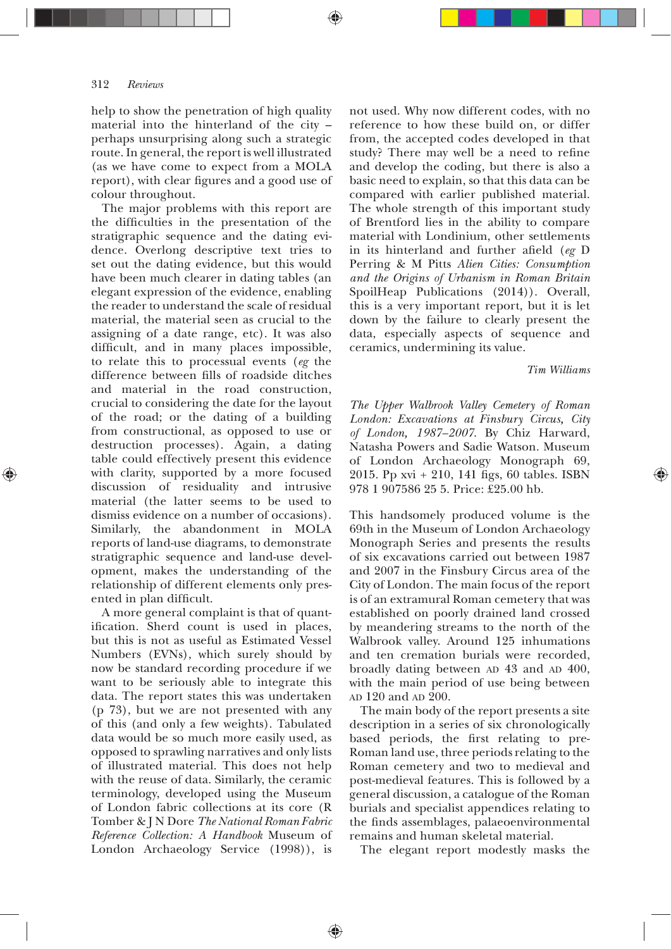help to show the penetration of high quality material into the hinterland of the city perhaps unsurprising along such a strategic route. In general, the report is well illustrated (as we have come to expect from a MOLA report), with clear figures and a good use of colour throughout.

The major problems with this report are the difficulties in the presentation of the stratigraphic sequence and the dating evidence. Overlong descriptive text tries to set out the dating evidence, but this would have been much clearer in dating tables (an elegant expression of the evidence, enabling the reader to understand the scale of residual material, the material seen as crucial to the assigning of a date range, etc). It was also difficult, and in many places impossible, to relate this to processual events (*eg* the difference between fills of roadside ditches and material in the road construction, crucial to considering the date for the layout of the road; or the dating of a building from constructional, as opposed to use or destruction processes). Again, a dating table could effectively present this evidence with clarity, supported by a more focused discussion of residuality and intrusive material (the latter seems to be used to dismiss evidence on a number of occasions). Similarly, the abandonment in MOLA reports of land-use diagrams, to demonstrate stratigraphic sequence and land-use development, makes the understanding of the relationship of different elements only presented in plan difficult.

A more general complaint is that of quantification. Sherd count is used in places, but this is not as useful as Estimated Vessel Numbers (EVNs), which surely should by now be standard recording procedure if we want to be seriously able to integrate this data. The report states this was undertaken (p 73), but we are not presented with any of this (and only a few weights). Tabulated data would be so much more easily used, as opposed to sprawling narratives and only lists of illustrated material. This does not help with the reuse of data. Similarly, the ceramic terminology, developed using the Museum of London fabric collections at its core (R Tomber & J N Dore *The National Roman Fabric Reference Collection: A Handbook* Museum of London Archaeology Service (1998)), is

not used. Why now different codes, with no reference to how these build on, or differ from, the accepted codes developed in that study? There may well be a need to refine and develop the coding, but there is also a basic need to explain, so that this data can be compared with earlier published material. The whole strength of this important study of Brentford lies in the ability to compare material with Londinium, other settlements in its hinterland and further afield (eg D Perring & M Pitts *Alien Cities: Consumption and the Origins of Urbanism in Roman Britain* SpoilHeap Publications (2014)). Overall, this is a very important report, but it is let down by the failure to clearly present the data, especially aspects of sequence and ceramics, undermining its value.

## *Tim Williams*

*The Upper Walbrook Valley Cemetery of Roman London: Excavations at Finsbury Circus, City of London, 1987—2007*. By Chiz Harward, Natasha Powers and Sadie Watson. Museum of London Archaeology Monograph 69, 2015. Pp xvi + 210, 141 figs, 60 tables. ISBN 978 1 907586 25 5. Price: £25.00 hb.

This handsomely produced volume is the 69th in the Museum of London Archaeology Monograph Series and presents the results of six excavations carried out between 1987 and 2007 in the Finsbury Circus area of the City of London. The main focus of the report is of an extramural Roman cemetery that was established on poorly drained land crossed by meandering streams to the north of the Walbrook valley. Around 125 inhumations and ten cremation burials were recorded, broadly dating between AD 43 and AD 400, with the main period of use being between AD 120 and AD 200.

The main body of the report presents a site description in a series of six chronologically based periods, the first relating to pre-Roman land use, three periods relating to the Roman cemetery and two to medieval and post-medieval features. This is followed by a general discussion, a catalogue of the Roman burials and specialist appendices relating to the finds assemblages, palaeoenvironmental remains and human skeletal material.

The elegant report modestly masks the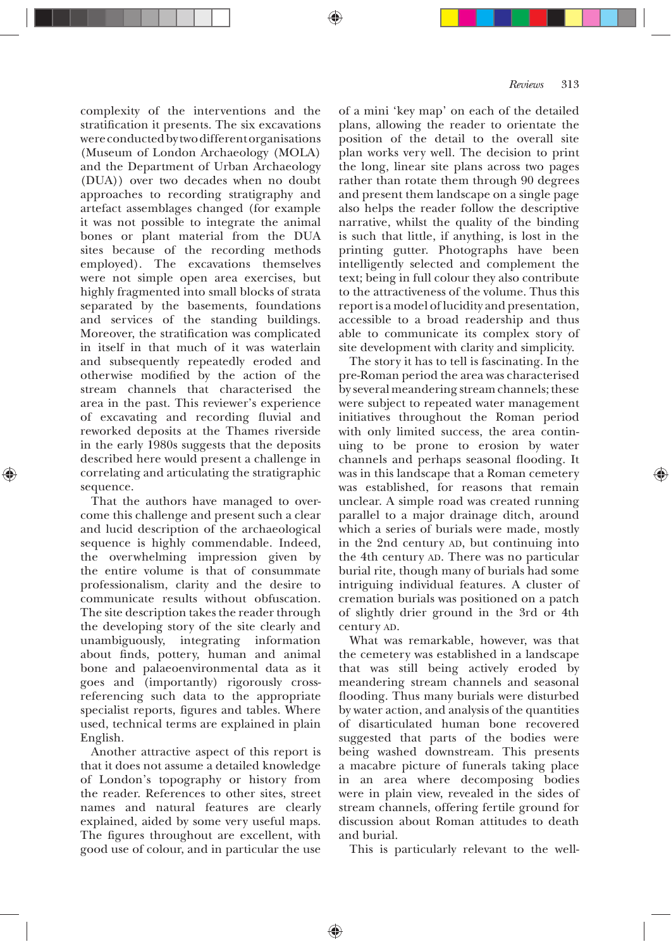complexity of the interventions and the stratification it presents. The six excavations were conducted by two different organisations (Museum of London Archaeology (MOLA) and the Department of Urban Archaeology (DUA)) over two decades when no doubt approaches to recording stratigraphy and artefact assemblages changed (for example it was not possible to integrate the animal bones or plant material from the DUA sites because of the recording methods employed). The excavations themselves were not simple open area exercises, but highly fragmented into small blocks of strata separated by the basements, foundations and services of the standing buildings. Moreover, the stratification was complicated in itself in that much of it was waterlain and subsequently repeatedly eroded and otherwise modified by the action of the stream channels that characterised the area in the past. This reviewer's experience of excavating and recording fluvial and reworked deposits at the Thames riverside in the early 1980s suggests that the deposits described here would present a challenge in correlating and articulating the stratigraphic sequence.

That the authors have managed to overcome this challenge and present such a clear and lucid description of the archaeological sequence is highly commendable. Indeed, the overwhelming impression given by the entire volume is that of consummate professionalism, clarity and the desire to communicate results without obfuscation. The site description takes the reader through the developing story of the site clearly and unambiguously, integrating information about finds, pottery, human and animal bone and palaeoenvironmental data as it goes and (importantly) rigorously crossreferencing such data to the appropriate specialist reports, figures and tables. Where used, technical terms are explained in plain English.

Another attractive aspect of this report is that it does not assume a detailed knowledge of London's topography or history from the reader. References to other sites, street names and natural features are clearly explained, aided by some very useful maps. The figures throughout are excellent, with good use of colour, and in particular the use

of a mini 'key map' on each of the detailed plans, allowing the reader to orientate the position of the detail to the overall site plan works very well. The decision to print the long, linear site plans across two pages rather than rotate them through 90 degrees and present them landscape on a single page also helps the reader follow the descriptive narrative, whilst the quality of the binding is such that little, if anything, is lost in the printing gutter. Photographs have been intelligently selected and complement the text; being in full colour they also contribute to the attractiveness of the volume. Thus this report is a model of lucidity and presentation, accessible to a broad readership and thus able to communicate its complex story of site development with clarity and simplicity.

The story it has to tell is fascinating. In the pre-Roman period the area was characterised by several meandering stream channels; these were subject to repeated water management initiatives throughout the Roman period with only limited success, the area continuing to be prone to erosion by water channels and perhaps seasonal flooding. It was in this landscape that a Roman cemetery was established, for reasons that remain unclear. A simple road was created running parallel to a major drainage ditch, around which a series of burials were made, mostly in the 2nd century AD, but continuing into the 4th century AD. There was no particular burial rite, though many of burials had some intriguing individual features. A cluster of cremation burials was positioned on a patch of slightly drier ground in the 3rd or 4th century AD.

What was remarkable, however, was that the cemetery was established in a landscape that was still being actively eroded by meandering stream channels and seasonal flooding. Thus many burials were disturbed by water action, and analysis of the quantities of disarticulated human bone recovered suggested that parts of the bodies were being washed downstream. This presents a macabre picture of funerals taking place in an area where decomposing bodies were in plain view, revealed in the sides of stream channels, offering fertile ground for discussion about Roman attitudes to death and burial.

This is particularly relevant to the well-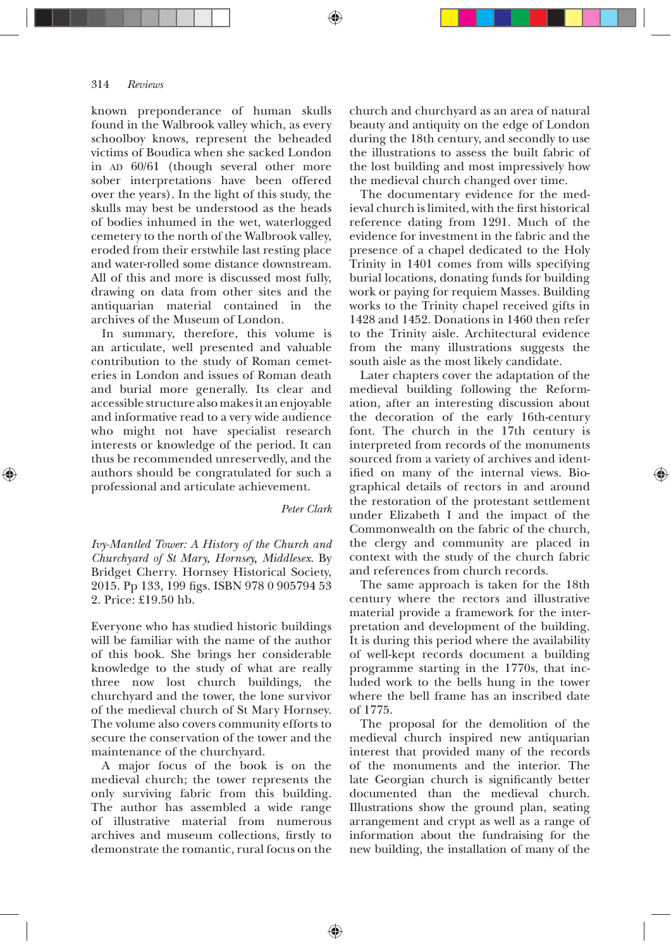known preponderance of human skulls found in the Walbrook valley which, as every schoolboy knows, represent the beheaded victims of Boudica when she sacked London in AD 60/61 (though several other more sober interpretations have been offered over the years). In the light of this study, the skulls may best be understood as the heads of bodies inhumed in the wet, waterlogged cemetery to the north of the Walbrook valley, eroded from their erstwhile last resting place and water-rolled some distance downstream. All of this and more is discussed most fully, drawing on data from other sites and the antiquarian material contained in the archives of the Museum of London.

In summary, therefore, this volume is an articulate, well presented and valuable contribution to the study of Roman cemeteries in London and issues of Roman death and burial more generally. Its clear and accessible structure also makes it an enjoyable and informative read to a very wide audience who might not have specialist research interests or knowledge of the period. It can thus be recommended unreservedly, and the authors should be congratulated for such a professional and articulate achievement.

## *Peter Clark*

♠

*Ivy-Mantled Tower: A History of the Church and Churchyard of St Mary, Hornsey, Middlesex*. By Bridget Cherry. Hornsey Historical Society, 2015. Pp 133, 199 figs. ISBN 978 0 905794 53 2. Price:  $£19.50$  hb.

Everyone who has studied historic buildings will be familiar with the name of the author of this book. She brings her considerable knowledge to the study of what are really three now lost church buildings, the churchyard and the tower, the lone survivor of the medieval church of St Mary Hornsey. The volume also covers community efforts to secure the conservation of the tower and the maintenance of the churchyard.

A major focus of the book is on the medieval church; the tower represents the only surviving fabric from this building. The author has assembled a wide range of illustrative material from numerous archives and museum collections, firstly to demonstrate the romantic, rural focus on the church and churchyard as an area of natural beauty and antiquity on the edge of London during the 18th century, and secondly to use the illustrations to assess the built fabric of the lost building and most impressively how the medieval church changed over time.

The documentary evidence for the medieval church is limited, with the first historical reference dating from 1291. Much of the evidence for investment in the fabric and the presence of a chapel dedicated to the Holy Trinity in 1401 comes from wills specifying burial locations, donating funds for building work or paying for requiem Masses. Building works to the Trinity chapel received gifts in 1428 and 1452. Donations in 1460 then refer to the Trinity aisle. Architectural evidence from the many illustrations suggests the south aisle as the most likely candidate.

Later chapters cover the adaptation of the medieval building following the Reformation, after an interesting discussion about the decoration of the early 16th-century font. The church in the 17th century is interpreted from records of the monuments sourced from a variety of archives and identified on many of the internal views. Biographical details of rectors in and around the restoration of the protestant settlement under Elizabeth I and the impact of the Commonwealth on the fabric of the church, the clergy and community are placed in context with the study of the church fabric and references from church records.

The same approach is taken for the 18th century where the rectors and illustrative material provide a framework for the interpretation and development of the building. It is during this period where the availability of well-kept records document a building programme starting in the 1770s, that included work to the bells hung in the tower where the bell frame has an inscribed date of 1775.

The proposal for the demolition of the medieval church inspired new antiquarian interest that provided many of the records of the monuments and the interior. The late Georgian church is significantly better documented than the medieval church. Illustrations show the ground plan, seating arrangement and crypt as well as a range of information about the fundraising for the new building, the installation of many of the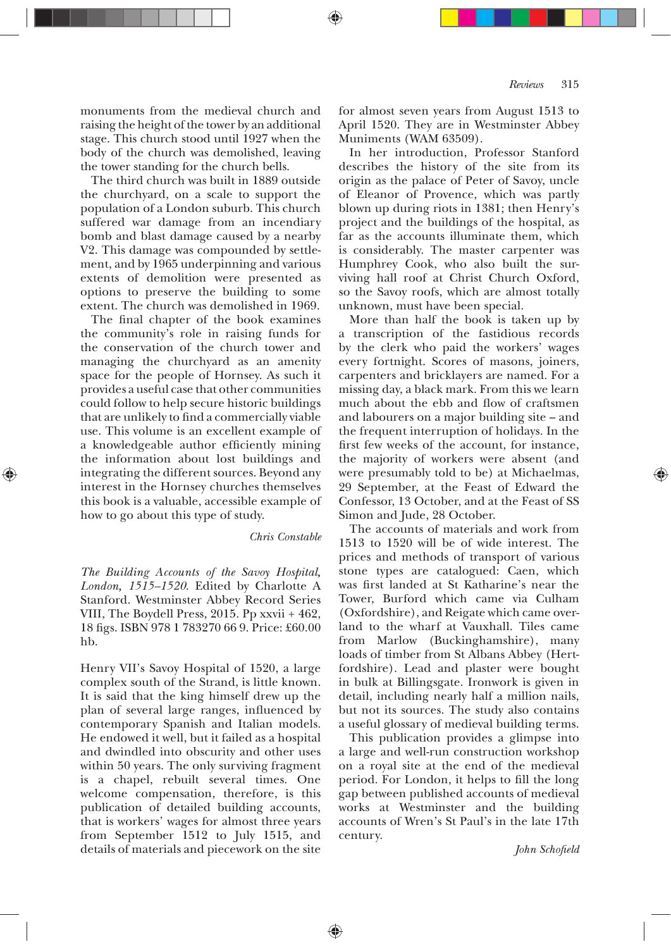monuments from the medieval church and raising the height of the tower by an additional stage. This church stood until 1927 when the body of the church was demolished, leaving the tower standing for the church bells.

The third church was built in 1889 outside the churchyard, on a scale to support the population of a London suburb. This church suffered war damage from an incendiary bomb and blast damage caused by a nearby V2. This damage was compounded by settlement, and by 1965 underpinning and various extents of demolition were presented as options to preserve the building to some extent. The church was demolished in 1969.

The final chapter of the book examines the community's role in raising funds for the conservation of the church tower and managing the churchyard as an amenity space for the people of Hornsey. As such it provides a useful case that other communities could follow to help secure historic buildings that are unlikely to find a commercially viable use. This volume is an excellent example of a knowledgeable author efficiently mining the information about lost buildings and integrating the different sources. Beyond any interest in the Hornsey churches themselves this book is a valuable, accessible example of how to go about this type of study.

*Chris Constable*

♠

*The Building Accounts of the Savoy Hospital, London, 1515—1520*. Edited by Charlotte A Stanford. Westminster Abbey Record Series VIII, The Boydell Press, 2015. Pp xxvii + 462, 18 figs. ISBN 978 1783270 66 9. Price: £60.00 hb.

Henry VII's Savoy Hospital of 1520, a large complex south of the Strand, is little known. It is said that the king himself drew up the plan of several large ranges, influenced by contemporary Spanish and Italian models. He endowed it well, but it failed as a hospital and dwindled into obscurity and other uses within 50 years. The only surviving fragment is a chapel, rebuilt several times. One welcome compensation, therefore, is this publication of detailed building accounts, that is workers' wages for almost three years from September 1512 to July 1515, and details of materials and piecework on the site for almost seven years from August 1513 to April 1520. They are in Westminster Abbey Muniments (WAM 63509).

In her introduction, Professor Stanford describes the history of the site from its origin as the palace of Peter of Savoy, uncle of Eleanor of Provence, which was partly blown up during riots in 1381; then Henry's project and the buildings of the hospital, as far as the accounts illuminate them, which is considerably. The master carpenter was Humphrey Cook, who also built the surviving hall roof at Christ Church Oxford, so the Savoy roofs, which are almost totally unknown, must have been special.

More than half the book is taken up by a transcription of the fastidious records by the clerk who paid the workers' wages every fortnight. Scores of masons, joiners, carpenters and bricklayers are named. For a missing day, a black mark. From this we learn much about the ebb and flow of craftsmen and labourers on a major building site — and the frequent interruption of holidays. In the first few weeks of the account, for instance, the majority of workers were absent (and were presumably told to be) at Michaelmas, 29 September, at the Feast of Edward the Confessor, 13 October, and at the Feast of SS Simon and Jude, 28 October.

The accounts of materials and work from 1513 to 1520 will be of wide interest. The prices and methods of transport of various stone types are catalogued: Caen, which was first landed at St Katharine's near the Tower, Burford which came via Culham (Oxfordshire), and Reigate which came overland to the wharf at Vauxhall. Tiles came from Marlow (Buckinghamshire), many loads of timber from St Albans Abbey (Hertfordshire). Lead and plaster were bought in bulk at Billingsgate. Ironwork is given in detail, including nearly half a million nails, but not its sources. The study also contains a useful glossary of medieval building terms.

This publication provides a glimpse into a large and well-run construction workshop on a royal site at the end of the medieval period. For London, it helps to fill the long gap between published accounts of medieval works at Westminster and the building accounts of Wren's St Paul's in the late 17th century.

*John Schoþeld*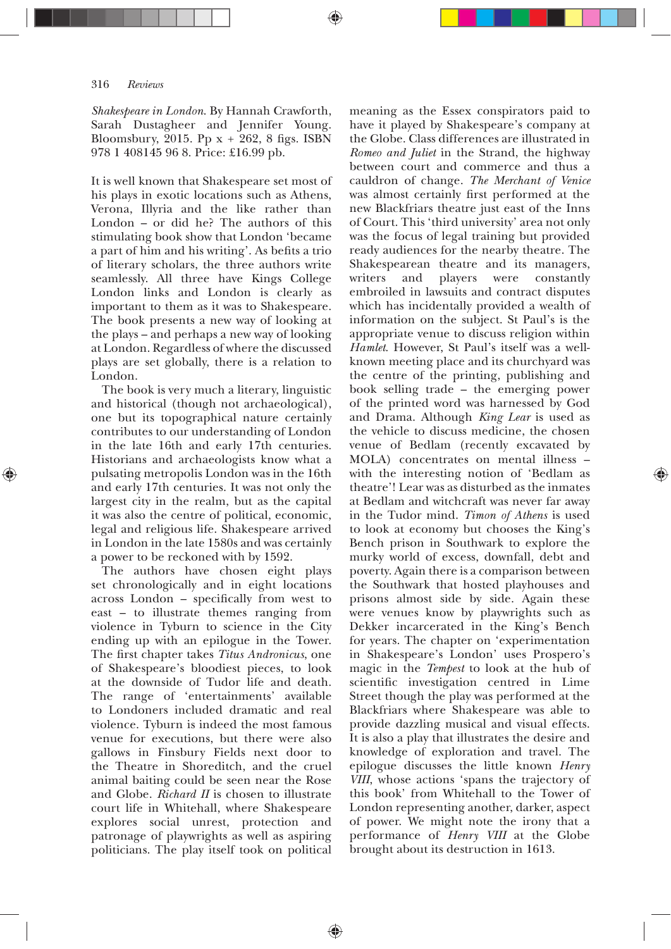*Shakespeare in London*. By Hannah Crawforth, Sarah Dustagheer and Jennifer Young. Bloomsbury, 2015. Pp  $x + 262$ , 8 figs. ISBN 978 1 408145 96 8. Price: £16.99 pb.

It is well known that Shakespeare set most of his plays in exotic locations such as Athens, Verona, Illyria and the like rather than London – or did he? The authors of this stimulating book show that London 'became a part of him and his writing'. As befits a trio of literary scholars, the three authors write seamlessly. All three have Kings College London links and London is clearly as important to them as it was to Shakespeare. The book presents a new way of looking at the plays — and perhaps a new way of looking at London. Regardless of where the discussed plays are set globally, there is a relation to London.

The book is very much a literary, linguistic and historical (though not archaeological), one but its topographical nature certainly contributes to our understanding of London in the late 16th and early 17th centuries. Historians and archaeologists know what a pulsating metropolis London was in the 16th and early 17th centuries. It was not only the largest city in the realm, but as the capital it was also the centre of political, economic, legal and religious life. Shakespeare arrived in London in the late 1580s and was certainly a power to be reckoned with by 1592.

The authors have chosen eight plays set chronologically and in eight locations across London - specifically from west to east — to illustrate themes ranging from violence in Tyburn to science in the City ending up with an epilogue in the Tower. The first chapter takes Titus Andronicus, one of Shakespeare's bloodiest pieces, to look at the downside of Tudor life and death. The range of 'entertainments' available to Londoners included dramatic and real violence. Tyburn is indeed the most famous venue for executions, but there were also gallows in Finsbury Fields next door to the Theatre in Shoreditch, and the cruel animal baiting could be seen near the Rose and Globe. *Richard II* is chosen to illustrate court life in Whitehall, where Shakespeare explores social unrest, protection and patronage of playwrights as well as aspiring politicians. The play itself took on political

♠

meaning as the Essex conspirators paid to have it played by Shakespeare's company at the Globe. Class differences are illustrated in *Romeo and Juliet* in the Strand, the highway between court and commerce and thus a cauldron of change. *The Merchant of Venice* was almost certainly first performed at the new Blackfriars theatre just east of the Inns of Court. This 'third university' area not only was the focus of legal training but provided ready audiences for the nearby theatre. The Shakespearean theatre and its managers, writers and players were constantly embroiled in lawsuits and contract disputes which has incidentally provided a wealth of information on the subject. St Paul's is the appropriate venue to discuss religion within *Hamlet*. However, St Paul's itself was a wellknown meeting place and its churchyard was the centre of the printing, publishing and book selling trade — the emerging power of the printed word was harnessed by God and Drama. Although *King Lear* is used as the vehicle to discuss medicine, the chosen venue of Bedlam (recently excavated by MOLA) concentrates on mental illness with the interesting notion of 'Bedlam as theatre'! Lear was as disturbed as the inmates at Bedlam and witchcraft was never far away in the Tudor mind. *Timon of Athens* is used to look at economy but chooses the King's Bench prison in Southwark to explore the murky world of excess, downfall, debt and poverty. Again there is a comparison between the Southwark that hosted playhouses and prisons almost side by side. Again these were venues know by playwrights such as Dekker incarcerated in the King's Bench for years. The chapter on 'experimentation in Shakespeare's London' uses Prospero's magic in the *Tempest* to look at the hub of scientific investigation centred in Lime Street though the play was performed at the Blackfriars where Shakespeare was able to provide dazzling musical and visual effects. It is also a play that illustrates the desire and knowledge of exploration and travel. The epilogue discusses the little known *Henry VIII*, whose actions 'spans the trajectory of this book' from Whitehall to the Tower of London representing another, darker, aspect of power. We might note the irony that a performance of *Henry VIII* at the Globe brought about its destruction in 1613.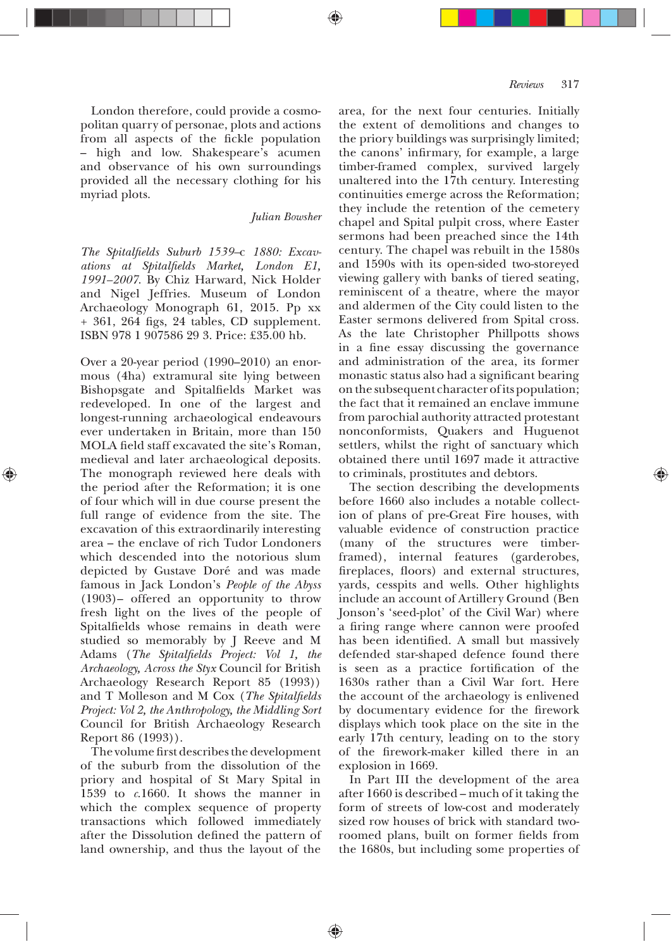London therefore, could provide a cosmopolitan quarry of personae, plots and actions from all aspects of the fickle population — high and low. Shakespeare's acumen and observance of his own surroundings provided all the necessary clothing for his myriad plots.

*Julian Bowsher*

*The Spitalþelds Suburb 1539—*c *1880: Excavations at Spitalþelds Market, London E1, 1991—2007*. By Chiz Harward, Nick Holder and Nigel Jeffries. Museum of London Archaeology Monograph 61, 2015. Pp xx  $+361, 264$  figs, 24 tables, CD supplement. ISBN 978 1 907586 29 3. Price: £35.00 hb.

Over a 20-year period (1990—2010) an enormous (4ha) extramural site lying between Bishopsgate and Spitalfields Market was redeveloped. In one of the largest and longest-running archaeological endeavours ever undertaken in Britain, more than 150 MOLA field staff excavated the site's Roman, medieval and later archaeological deposits. The monograph reviewed here deals with the period after the Reformation; it is one of four which will in due course present the full range of evidence from the site. The excavation of this extraordinarily interesting area — the enclave of rich Tudor Londoners which descended into the notorious slum depicted by Gustave Doré and was made famous in Jack London's *People of the Abyss* (1903)— offered an opportunity to throw fresh light on the lives of the people of Spitalfields whose remains in death were studied so memorably by J Reeve and M Adams (*The Spitalfields Project: Vol 1, the Archaeology, Across the Styx* Council for British Archaeology Research Report 85 (1993)) and T Molleson and M Cox (*The Spitalþelds Project: Vol 2, the Anthropology, the Middling Sort* Council for British Archaeology Research Report 86 (1993)).

The volume first describes the development of the suburb from the dissolution of the priory and hospital of St Mary Spital in 1539 to  $c.1660$ . It shows the manner in which the complex sequence of property transactions which followed immediately after the Dissolution defined the pattern of land ownership, and thus the layout of the

area, for the next four centuries. Initially the extent of demolitions and changes to the priory buildings was surprisingly limited; the canons' infirmary, for example, a large timber-framed complex, survived largely unaltered into the  $17$ th century. Interesting continuities emerge across the Reformation; they include the retention of the cemetery chapel and Spital pulpit cross, where Easter sermons had been preached since the 14th century. The chapel was rebuilt in the 1580s and 1590s with its open-sided two-storeyed viewing gallery with banks of tiered seating, reminiscent of a theatre, where the mayor and aldermen of the City could listen to the Easter sermons delivered from Spital cross. As the late Christopher Phillpotts shows in a fine essay discussing the governance and administration of the area, its former monastic status also had a significant bearing on the subsequent character of its population; the fact that it remained an enclave immune from parochial authority attracted protestant nonconformists, Quakers and Huguenot settlers, whilst the right of sanctuary which obtained there until 1697 made it attractive to criminals, prostitutes and debtors.

The section describing the developments before 1660 also includes a notable collection of plans of pre-Great Fire houses, with valuable evidence of construction practice (many of the structures were timberframed), internal features (garderobes, fireplaces, floors) and external structures, yards, cesspits and wells. Other highlights include an account of Artillery Ground (Ben Jonson's 'seed-plot' of the Civil War) where a firing range where cannon were proofed has been identified. A small but massively defended star-shaped defence found there is seen as a practice fortification of the 1630s rather than a Civil War fort. Here the account of the archaeology is enlivened by documentary evidence for the firework displays which took place on the site in the early 17th century, leading on to the story of the firework-maker killed there in an explosion in 1669.

In Part III the development of the area after 1660 is described — much of it taking the form of streets of low-cost and moderately sized row houses of brick with standard tworoomed plans, built on former fields from the 1680s, but including some properties of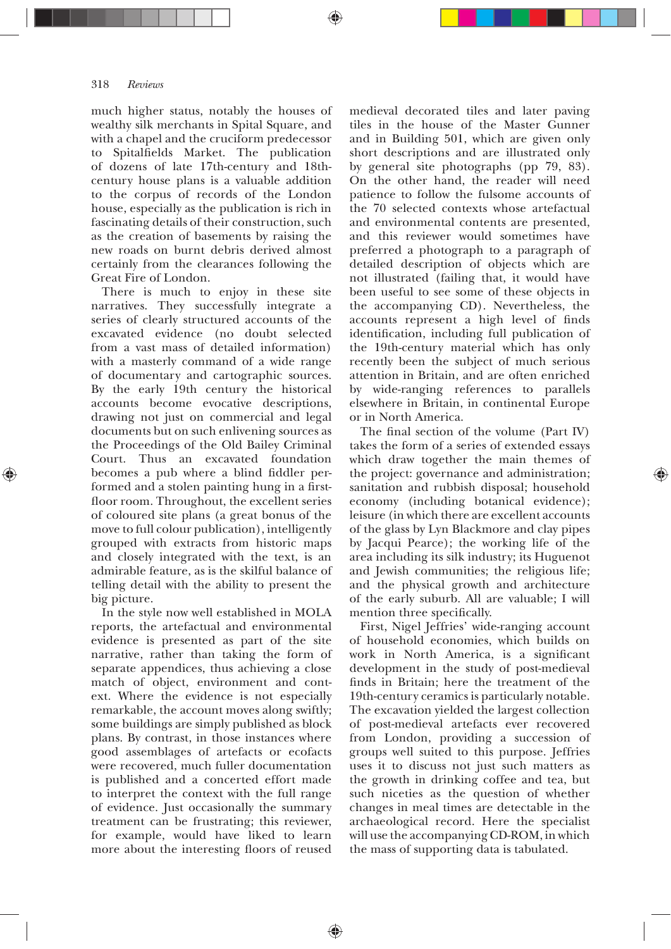much higher status, notably the houses of wealthy silk merchants in Spital Square, and with a chapel and the cruciform predecessor to Spitalfields Market. The publication of dozens of late 17th-century and 18thcentury house plans is a valuable addition to the corpus of records of the London house, especially as the publication is rich in fascinating details of their construction, such as the creation of basements by raising the new roads on burnt debris derived almost certainly from the clearances following the Great Fire of London.

There is much to enjoy in these site narratives. They successfully integrate a series of clearly structured accounts of the excavated evidence (no doubt selected from a vast mass of detailed information) with a masterly command of a wide range of documentary and cartographic sources. By the early 19th century the historical accounts become evocative descriptions, drawing not just on commercial and legal documents but on such enlivening sources as the Proceedings of the Old Bailey Criminal Court. Thus an excavated foundation becomes a pub where a blind fiddler performed and a stolen painting hung in a firstfloor room. Throughout, the excellent series of coloured site plans (a great bonus of the move to full colour publication), intelligently grouped with extracts from historic maps and closely integrated with the text, is an admirable feature, as is the skilful balance of telling detail with the ability to present the big picture.

In the style now well established in MOLA reports, the artefactual and environmental evidence is presented as part of the site narrative, rather than taking the form of separate appendices, thus achieving a close match of object, environment and context. Where the evidence is not especially remarkable, the account moves along swiftly; some buildings are simply published as block plans. By contrast, in those instances where good assemblages of artefacts or ecofacts were recovered, much fuller documentation is published and a concerted effort made to interpret the context with the full range of evidence. Just occasionally the summary treatment can be frustrating; this reviewer, for example, would have liked to learn more about the interesting floors of reused

♠

medieval decorated tiles and later paving tiles in the house of the Master Gunner and in Building 501, which are given only short descriptions and are illustrated only by general site photographs (pp  $79, 83$ ). On the other hand, the reader will need patience to follow the fulsome accounts of the 70 selected contexts whose artefactual and environmental contents are presented, and this reviewer would sometimes have preferred a photograph to a paragraph of detailed description of objects which are not illustrated (failing that, it would have been useful to see some of these objects in the accompanying CD). Nevertheless, the accounts represent a high level of finds identification, including full publication of the 19th-century material which has only recently been the subject of much serious attention in Britain, and are often enriched by wide-ranging references to parallels elsewhere in Britain, in continental Europe or in North America.

The final section of the volume (Part IV) takes the form of a series of extended essays which draw together the main themes of the project: governance and administration; sanitation and rubbish disposal; household economy (including botanical evidence); leisure (in which there are excellent accounts of the glass by Lyn Blackmore and clay pipes by Jacqui Pearce); the working life of the area including its silk industry; its Huguenot and Jewish communities; the religious life; and the physical growth and architecture of the early suburb. All are valuable; I will mention three specifically.

First, Nigel Jeffries' wide-ranging account of household economies, which builds on work in North America, is a significant development in the study of post-medieval finds in Britain; here the treatment of the 19th-century ceramics is particularly notable. The excavation yielded the largest collection of post-medieval artefacts ever recovered from London, providing a succession of groups well suited to this purpose. Jeffries uses it to discuss not just such matters as the growth in drinking coffee and tea, but such niceties as the question of whether changes in meal times are detectable in the archaeological record. Here the specialist will use the accompanying CD-ROM, in which the mass of supporting data is tabulated.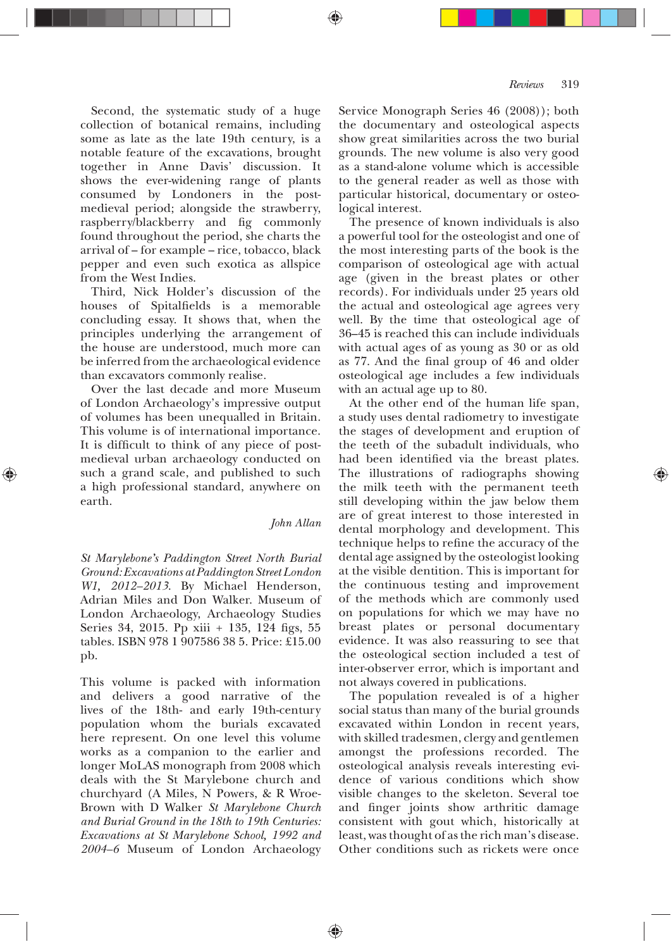Second, the systematic study of a huge collection of botanical remains, including some as late as the late 19th century, is a notable feature of the excavations, brought together in Anne Davis' discussion. It shows the ever-widening range of plants consumed by Londoners in the postmedieval period; alongside the strawberry, raspberry/blackberry and fig commonly found throughout the period, she charts the arrival of — for example — rice, tobacco, black pepper and even such exotica as allspice from the West Indies.

Third, Nick Holder's discussion of the houses of Spitalfields is a memorable concluding essay. It shows that, when the principles underlying the arrangement of the house are understood, much more can be inferred from the archaeological evidence than excavators commonly realise.

Over the last decade and more Museum of London Archaeology's impressive output of volumes has been unequalled in Britain. This volume is of international importance. It is difficult to think of any piece of postmedieval urban archaeology conducted on such a grand scale, and published to such a high professional standard, anywhere on earth.

# *John Allan*

♠

*St Marylebone's Paddington Street North Burial Ground: Excavations at Paddington Street London W1, 2012—2013*. By Michael Henderson, Adrian Miles and Don Walker. Museum of London Archaeology, Archaeology Studies Series 34, 2015. Pp xiii  $+$  135, 124 figs, 55 tables. ISBN 978 1 907586 38 5. Price: £15.00 pb.

This volume is packed with information and delivers a good narrative of the lives of the 18th- and early 19th-century population whom the burials excavated here represent. On one level this volume works as a companion to the earlier and longer MoLAS monograph from 2008 which deals with the St Marylebone church and churchyard (A Miles, N Powers, & R Wroe-Brown with D Walker *St Marylebone Church and Burial Ground in the 18th to 19th Centuries: Excavations at St Marylebone School, 1992 and 2004—6* Museum of London Archaeology

Service Monograph Series 46 (2008)); both the documentary and osteological aspects show great similarities across the two burial grounds. The new volume is also very good as a stand-alone volume which is accessible to the general reader as well as those with particular historical, documentary or osteological interest.

The presence of known individuals is also a powerful tool for the osteologist and one of the most interesting parts of the book is the comparison of osteological age with actual age (given in the breast plates or other records). For individuals under 25 years old the actual and osteological age agrees very well. By the time that osteological age of 36–45 is reached this can include individuals with actual ages of as young as 30 or as old as 77. And the final group of 46 and older osteological age includes a few individuals with an actual age up to 80.

At the other end of the human life span, a study uses dental radiometry to investigate the stages of development and eruption of the teeth of the subadult individuals, who had been identified via the breast plates. The illustrations of radiographs showing the milk teeth with the permanent teeth still developing within the jaw below them are of great interest to those interested in dental morphology and development. This technique helps to refine the accuracy of the dental age assigned by the osteologist looking at the visible dentition. This is important for the continuous testing and improvement of the methods which are commonly used on populations for which we may have no breast plates or personal documentary evidence. It was also reassuring to see that the osteological section included a test of inter-observer error, which is important and not always covered in publications.

The population revealed is of a higher social status than many of the burial grounds excavated within London in recent years, with skilled tradesmen, clergy and gentlemen amongst the professions recorded. The osteological analysis reveals interesting evidence of various conditions which show visible changes to the skeleton. Several toe and finger joints show arthritic damage consistent with gout which, historically at least, was thought of as the rich man's disease. Other conditions such as rickets were once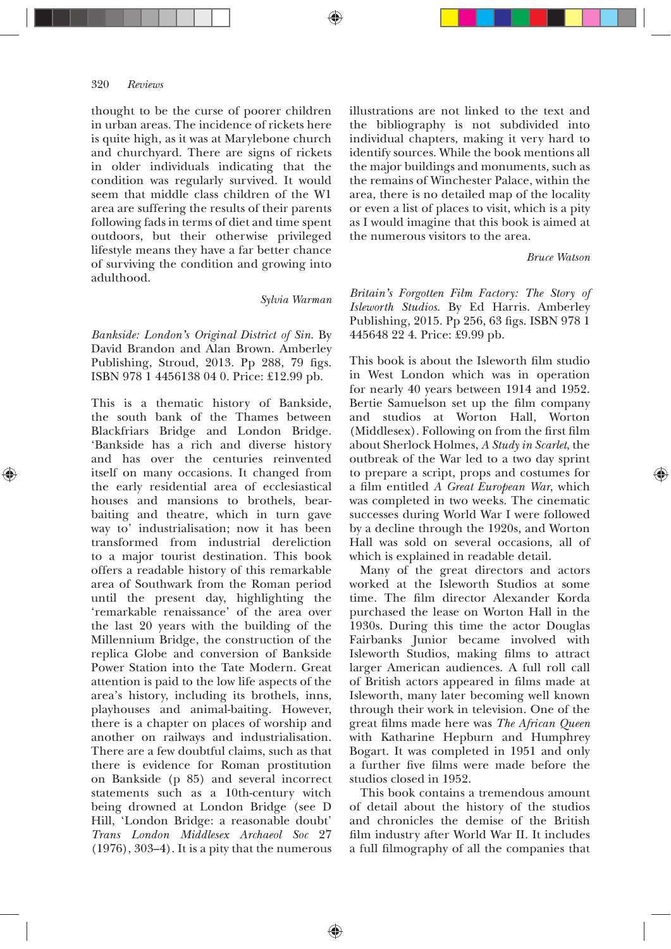thought to be the curse of poorer children in urban areas. The incidence of rickets here is quite high, as it was at Marylebone church and churchyard. There are signs of rickets in older individuals indicating that the condition was regularly survived. It would seem that middle class children of the W1 area are suffering the results of their parents following fads in terms of diet and time spent outdoors, but their otherwise privileged lifestyle means they have a far better chance of surviving the condition and growing into adulthood.

*Sylvia Warman*

*Bankside: London's Original District of Sin*. By David Brandon and Alan Brown. Amberley Publishing, Stroud, 2013. Pp 288, 79 figs. ISBN 978 1 4456138 04 0. Price: £12.99 pb.

This is a thematic history of Bankside, the south bank of the Thames between Blackfriars Bridge and London Bridge. 'Bankside has a rich and diverse history and has over the centuries reinvented itself on many occasions. It changed from the early residential area of ecclesiastical houses and mansions to brothels, bearbaiting and theatre, which in turn gave way to' industrialisation; now it has been transformed from industrial dereliction to a major tourist destination. This book offers a readable history of this remarkable area of Southwark from the Roman period until the present day, highlighting the 'remarkable renaissance' of the area over the last 20 years with the building of the Millennium Bridge, the construction of the replica Globe and conversion of Bankside Power Station into the Tate Modern. Great attention is paid to the low life aspects of the area's history, including its brothels, inns, playhouses and animal-baiting. However, there is a chapter on places of worship and another on railways and industrialisation. There are a few doubtful claims, such as that there is evidence for Roman prostitution on Bankside (p 85) and several incorrect statements such as a 10th-century witch being drowned at London Bridge (see D Hill, 'London Bridge: a reasonable doubt' *Trans London Middlesex Archaeol Soc* 27  $(1976)$ , 303–4). It is a pity that the numerous

illustrations are not linked to the text and the bibliography is not subdivided into individual chapters, making it very hard to identify sources. While the book mentions all the major buildings and monuments, such as the remains of Winchester Palace, within the area, there is no detailed map of the locality or even a list of places to visit, which is a pity as I would imagine that this book is aimed at the numerous visitors to the area.

# *Bruce Watson*

*Britain's Forgotten Film Factory: The Story of Isleworth Studios*. By Ed Harris. Amberley Publishing, 2015. Pp 256, 63 figs. ISBN 978 1 445648 22 4. Price: £9.99 pb.

This book is about the Isleworth film studio in West London which was in operation for nearly 40 years between  $1914$  and  $1952$ . Bertie Samuelson set up the film company and studios at Worton Hall, Worton (Middlesex). Following on from the first film about Sherlock Holmes, *A Study in Scarlet*, the outbreak of the War led to a two day sprint to prepare a script, props and costumes for a film entitled A Great European War, which was completed in two weeks. The cinematic successes during World War I were followed by a decline through the 1920s, and Worton Hall was sold on several occasions, all of which is explained in readable detail.

Many of the great directors and actors worked at the Isleworth Studios at some time. The film director Alexander Korda purchased the lease on Worton Hall in the 1930s. During this time the actor Douglas Fairbanks Junior became involved with Isleworth Studios, making films to attract larger American audiences. A full roll call of British actors appeared in films made at Isleworth, many later becoming well known through their work in television. One of the great films made here was *The African Queen* with Katharine Hepburn and Humphrey Bogart. It was completed in 1951 and only a further five films were made before the studios closed in 1952.

This book contains a tremendous amount of detail about the history of the studios and chronicles the demise of the British film industry after World War II. It includes a full filmography of all the companies that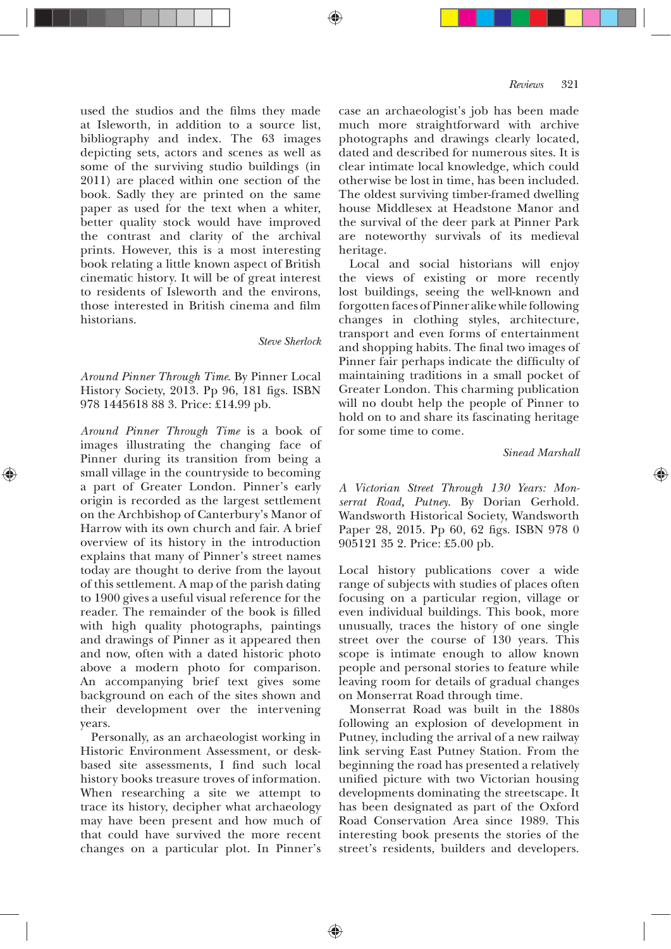used the studios and the films they made at Isleworth, in addition to a source list, bibliography and index. The 63 images depicting sets, actors and scenes as well as some of the surviving studio buildings (in 2011) are placed within one section of the book. Sadly they are printed on the same paper as used for the text when a whiter, better quality stock would have improved the contrast and clarity of the archival prints. However, this is a most interesting book relating a little known aspect of British cinematic history. It will be of great interest to residents of Isleworth and the environs, those interested in British cinema and film historians.

#### *Steve Sherlock*

*Around Pinner Through Time*. By Pinner Local History Society, 2013. Pp 96, 181 figs. ISBN 978 1445618 88 3. Price: £14.99 pb.

*Around Pinner Through Time* is a book of images illustrating the changing face of Pinner during its transition from being a small village in the countryside to becoming a part of Greater London. Pinner's early origin is recorded as the largest settlement on the Archbishop of Canterbury's Manor of Harrow with its own church and fair. A brief overview of its history in the introduction explains that many of Pinner's street names today are thought to derive from the layout of this settlement. A map of the parish dating to 1900 gives a useful visual reference for the reader. The remainder of the book is filled with high quality photographs, paintings and drawings of Pinner as it appeared then and now, often with a dated historic photo above a modern photo for comparison. An accompanying brief text gives some background on each of the sites shown and their development over the intervening years.

Personally, as an archaeologist working in Historic Environment Assessment, or deskbased site assessments, I find such local history books treasure troves of information. When researching a site we attempt to trace its history, decipher what archaeology may have been present and how much of that could have survived the more recent changes on a particular plot. In Pinner's

case an archaeologist's job has been made much more straightforward with archive photographs and drawings clearly located, dated and described for numerous sites. It is clear intimate local knowledge, which could otherwise be lost in time, has been included. The oldest surviving timber-framed dwelling house Middlesex at Headstone Manor and the survival of the deer park at Pinner Park are noteworthy survivals of its medieval heritage.

Local and social historians will enjoy the views of existing or more recently lost buildings, seeing the well-known and forgotten faces of Pinner alike while following changes in clothing styles, architecture, transport and even forms of entertainment and shopping habits. The final two images of Pinner fair perhaps indicate the difficulty of maintaining traditions in a small pocket of Greater London. This charming publication will no doubt help the people of Pinner to hold on to and share its fascinating heritage for some time to come.

## *Sinead Marshall*

*A Victorian Street Through 130 Years: Monserrat Road, Putney*. By Dorian Gerhold. Wandsworth Historical Society, Wandsworth Paper 28, 2015. Pp 60, 62 figs. ISBN 978 0 905121 35 2. Price: £5.00 pb.

Local history publications cover a wide range of subjects with studies of places often focusing on a particular region, village or even individual buildings. This book, more unusually, traces the history of one single street over the course of 130 years. This scope is intimate enough to allow known people and personal stories to feature while leaving room for details of gradual changes on Monserrat Road through time.

Monserrat Road was built in the 1880s following an explosion of development in Putney, including the arrival of a new railway link serving East Putney Station. From the beginning the road has presented a relatively unified picture with two Victorian housing developments dominating the streetscape. It has been designated as part of the Oxford Road Conservation Area since 1989. This interesting book presents the stories of the street's residents, builders and developers.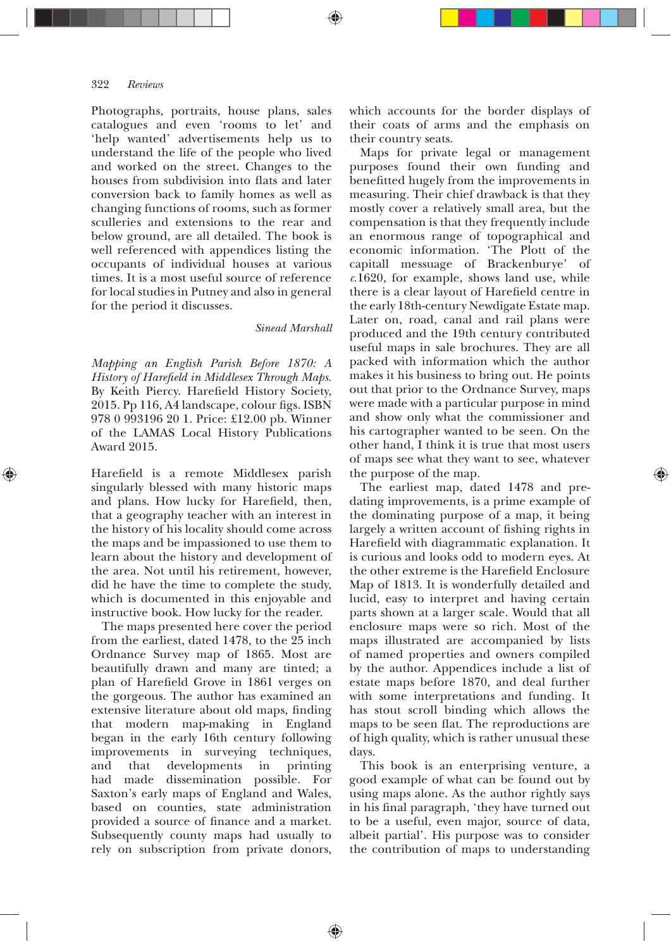Photographs, portraits, house plans, sales catalogues and even 'rooms to let' and 'help wanted' advertisements help us to understand the life of the people who lived and worked on the street. Changes to the houses from subdivision into flats and later conversion back to family homes as well as changing functions of rooms, such as former sculleries and extensions to the rear and below ground, are all detailed. The book is well referenced with appendices listing the occupants of individual houses at various times. It is a most useful source of reference for local studies in Putney and also in general for the period it discusses.

# *Sinead Marshall*

♠

*Mapping an English Parish Before 1870: A History of Hareþeld in Middlesex Through Maps*. By Keith Piercy. Harefield History Society, 2015. Pp 116, A4 landscape, colour figs. ISBN 978 0 993196 20 1. Price: £12.00 pb. Winner of the LAMAS Local History Publications Award 2015.

Harefield is a remote Middlesex parish singularly blessed with many historic maps and plans. How lucky for Harefield, then, that a geography teacher with an interest in the history of his locality should come across the maps and be impassioned to use them to learn about the history and development of the area. Not until his retirement, however, did he have the time to complete the study, which is documented in this enjoyable and instructive book. How lucky for the reader.

The maps presented here cover the period from the earliest, dated 1478, to the 25 inch Ordnance Survey map of 1865. Most are beautifully drawn and many are tinted; a plan of Harefield Grove in 1861 verges on the gorgeous. The author has examined an extensive literature about old maps, finding that modern map-making in England began in the early 16th century following improvements in surveying techniques, and that developments in printing had made dissemination possible. For Saxton's early maps of England and Wales, based on counties, state administration provided a source of finance and a market. Subsequently county maps had usually to rely on subscription from private donors,

which accounts for the border displays of their coats of arms and the emphasis on their country seats.

Maps for private legal or management purposes found their own funding and benefitted hugely from the improvements in measuring. Their chief drawback is that they mostly cover a relatively small area, but the compensation is that they frequently include an enormous range of topographical and economic information. 'The Plott of the capitall messuage of Brackenburye' of *c*.1620, for example, shows land use, while there is a clear layout of Harefield centre in the early 18th-century Newdigate Estate map. Later on, road, canal and rail plans were produced and the 19th century contributed useful maps in sale brochures. They are all packed with information which the author makes it his business to bring out. He points out that prior to the Ordnance Survey, maps were made with a particular purpose in mind and show only what the commissioner and his cartographer wanted to be seen. On the other hand, I think it is true that most users of maps see what they want to see, whatever the purpose of the map.

The earliest map, dated 1478 and predating improvements, is a prime example of the dominating purpose of a map, it being largely a written account of fishing rights in Harefield with diagrammatic explanation. It is curious and looks odd to modern eyes. At the other extreme is the Harefield Enclosure Map of 1813. It is wonderfully detailed and lucid, easy to interpret and having certain parts shown at a larger scale. Would that all enclosure maps were so rich. Most of the maps illustrated are accompanied by lists of named properties and owners compiled by the author. Appendices include a list of estate maps before 1870, and deal further with some interpretations and funding. It has stout scroll binding which allows the maps to be seen flat. The reproductions are of high quality, which is rather unusual these days.

This book is an enterprising venture, a good example of what can be found out by using maps alone. As the author rightly says in his final paragraph, 'they have turned out to be a useful, even major, source of data, albeit partial'. His purpose was to consider the contribution of maps to understanding